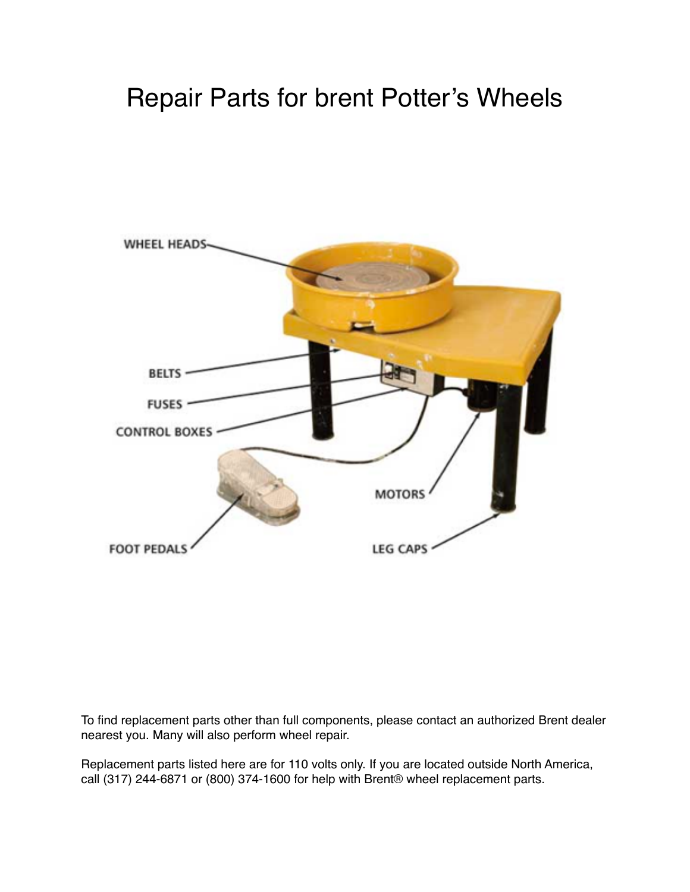# Repair Parts for brent Potter's Wheels



To find replacement parts other than full components, please contact an authorized Brent dealer nearest you. Many will also perform wheel repair.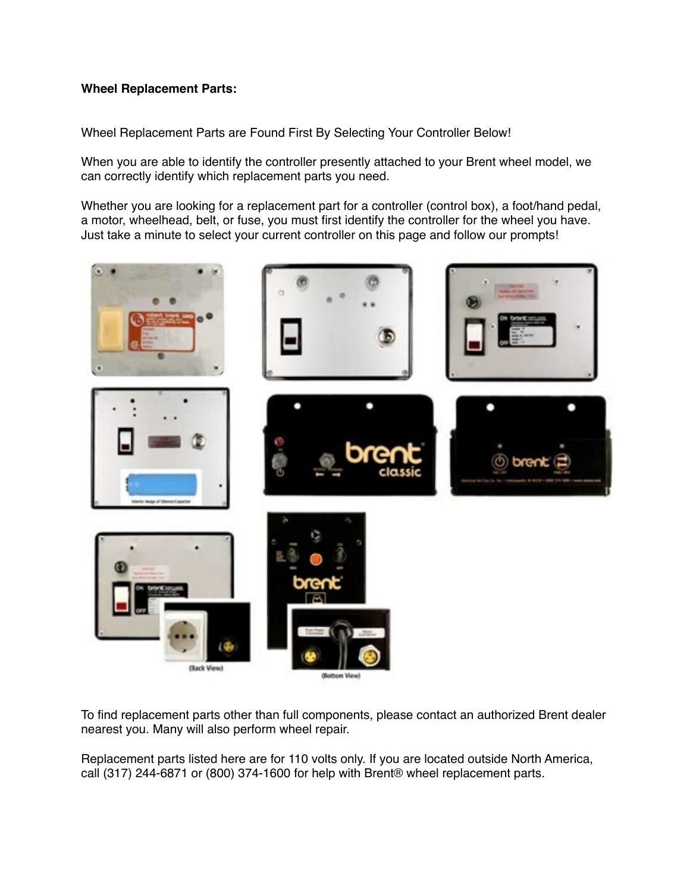Wheel Replacement Parts are Found First By Selecting Your Controller Below!

When you are able to identify the controller presently attached to your Brent wheel model, we can correctly identify which replacement parts you need.

Whether you are looking for a replacement part for a controller (control box), a foot/hand pedal, a motor, wheelhead, belt, or fuse, you must first identify the controller for the wheel you have. Just take a minute to select your current controller on this page and follow our prompts!



To find replacement parts other than full components, please contact an authorized Brent dealer nearest you. Many will also perform wheel repair.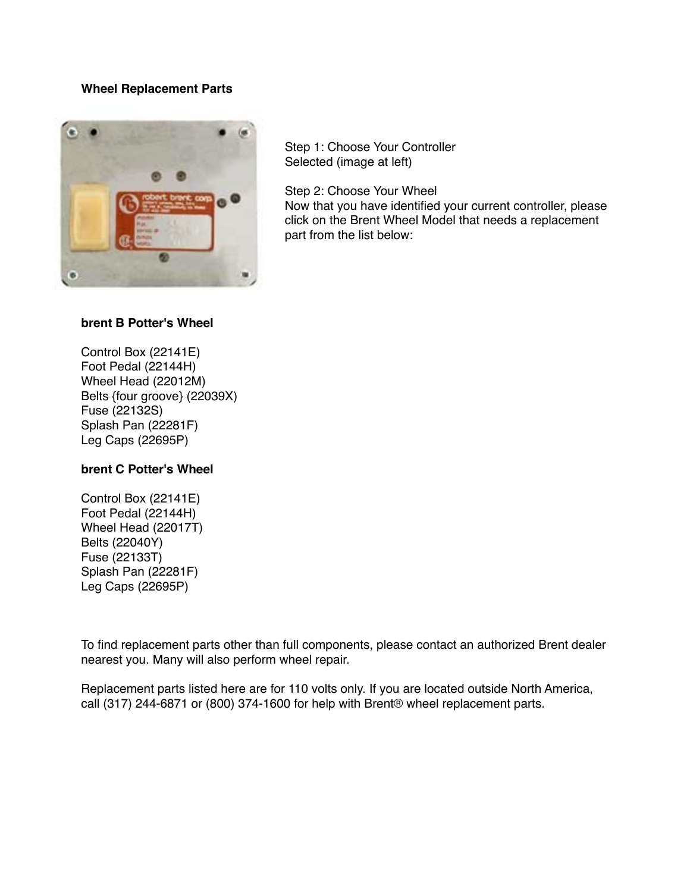

Step 1: Choose Your Controller Selected (image at left)

Step 2: Choose Your Wheel

Now that you have identified your current controller, please click on the Brent Wheel Model that needs a replacement part from the list below:

# **brent B Potter's Wheel**

Control Box (22141E) Foot Pedal (22144H) Wheel Head (22012M) Belts {four groove} (22039X) Fuse (22132S) Splash Pan (22281F) Leg Caps (22695P)

## **brent C Potter's Wheel**

Control Box (22141E) Foot Pedal (22144H) Wheel Head (22017T) Belts (22040Y) Fuse (22133T) Splash Pan (22281F) Leg Caps (22695P)

To find replacement parts other than full components, please contact an authorized Brent dealer nearest you. Many will also perform wheel repair.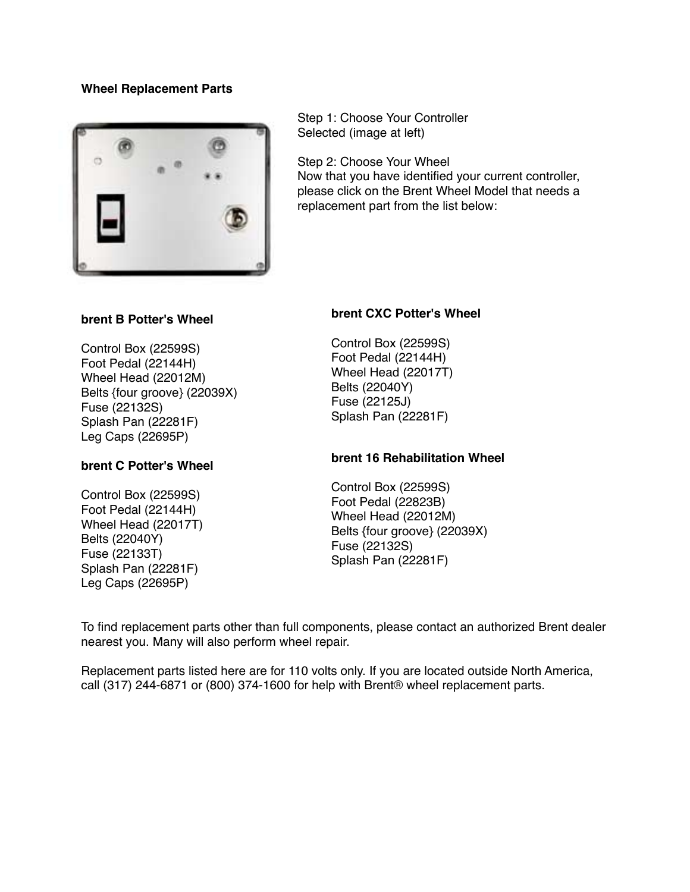

Step 1: Choose Your Controller Selected (image at left)

Step 2: Choose Your Wheel Now that you have identified your current controller, please click on the Brent Wheel Model that needs a replacement part from the list below:

# **brent B Potter's Wheel**

Control Box (22599S) Foot Pedal (22144H) Wheel Head (22012M) Belts {four groove} (22039X) Fuse (22132S) Splash Pan (22281F) Leg Caps (22695P)

## **brent C Potter's Wheel**

Control Box (22599S) Foot Pedal (22144H) Wheel Head (22017T) Belts (22040Y) Fuse (22133T) Splash Pan (22281F) Leg Caps (22695P)

# **brent CXC Potter's Wheel**

Control Box (22599S) Foot Pedal (22144H) Wheel Head (22017T) Belts (22040Y) Fuse (22125J) Splash Pan (22281F)

## **brent 16 Rehabilitation Wheel**

Control Box (22599S) Foot Pedal (22823B) Wheel Head (22012M) Belts {four groove} (22039X) Fuse (22132S) Splash Pan (22281F)

To find replacement parts other than full components, please contact an authorized Brent dealer nearest you. Many will also perform wheel repair.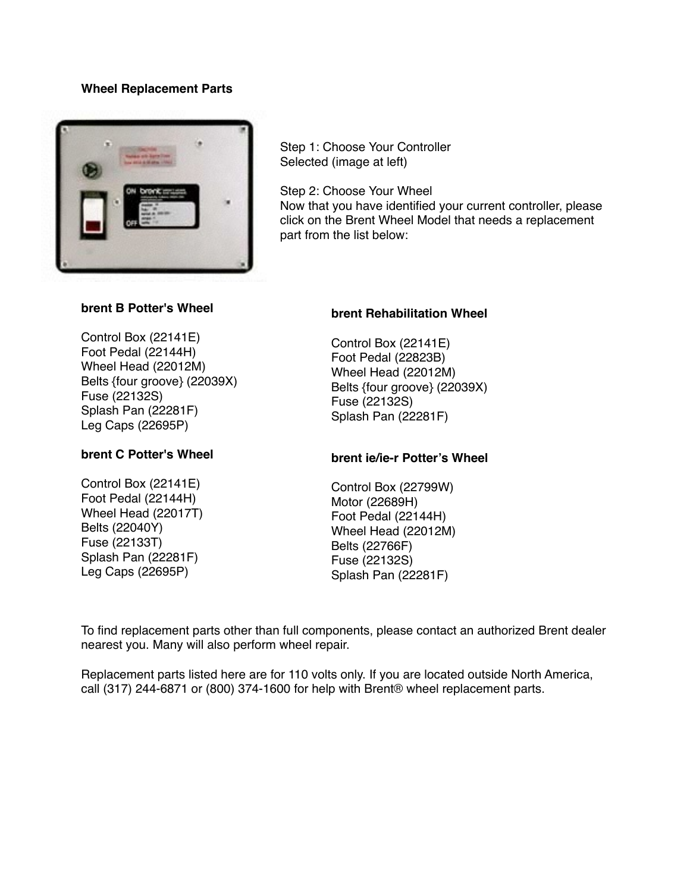

Step 1: Choose Your Controller Selected (image at left)

Step 2: Choose Your Wheel Now that you have identified your current controller, please click on the Brent Wheel Model that needs a replacement part from the list below:

## **brent B Potter's Wheel**

Control Box (22141E) Foot Pedal (22144H) Wheel Head (22012M) Belts {four groove} (22039X) Fuse (22132S) Splash Pan (22281F) Leg Caps (22695P)

# **brent C Potter's Wheel**

Control Box (22141E) Foot Pedal (22144H) Wheel Head (22017T) Belts (22040Y) Fuse (22133T) Splash Pan (22281F) Leg Caps (22695P)

## **brent Rehabilitation Wheel**

Control Box (22141E) Foot Pedal (22823B) Wheel Head (22012M) Belts {four groove} (22039X) Fuse (22132S) Splash Pan (22281F)

## **brent ie/ie-r Potter's Wheel**

Control Box (22799W) Motor (22689H) Foot Pedal (22144H) Wheel Head (22012M) Belts (22766F) Fuse (22132S) Splash Pan (22281F)

To find replacement parts other than full components, please contact an authorized Brent dealer nearest you. Many will also perform wheel repair.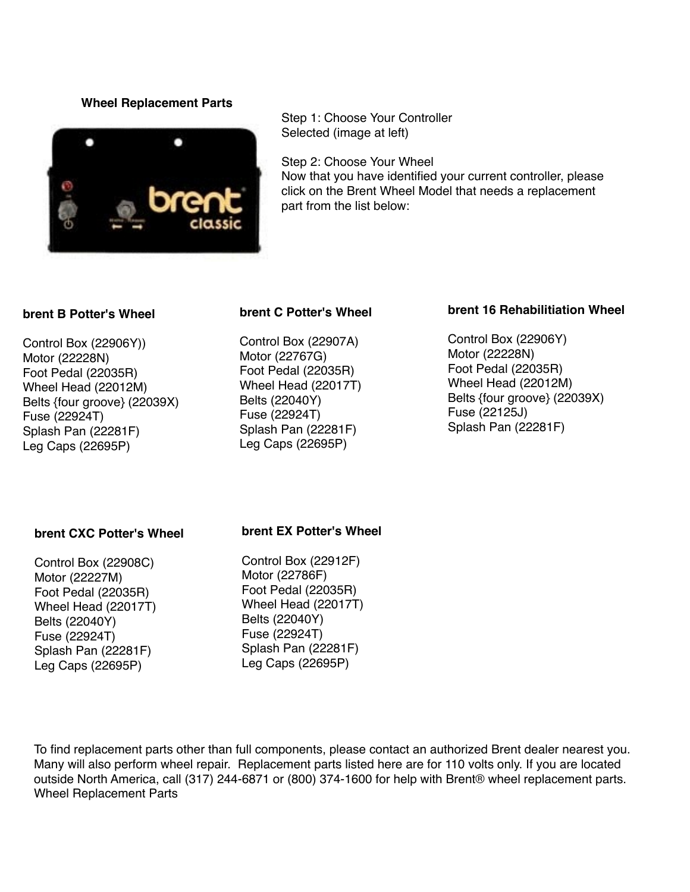

Step 1: Choose Your Controller Selected (image at left)

Step 2: Choose Your Wheel Now that you have identified your current controller, please click on the Brent Wheel Model that needs a replacement part from the list below:

#### **brent B Potter's Wheel**

Control Box (22906Y)) Motor (22228N) Foot Pedal (22035R) Wheel Head (22012M) Belts {four groove} (22039X) Fuse (22924T) Splash Pan (22281F) Leg Caps (22695P)

# **brent C Potter's Wheel**

Control Box (22907A) Motor (22767G) Foot Pedal (22035R) Wheel Head (22017T) Belts (22040Y) Fuse (22924T) Splash Pan (22281F) Leg Caps (22695P)

# **brent 16 Rehabilitiation Wheel**

Control Box (22906Y) Motor (22228N) Foot Pedal (22035R) Wheel Head (22012M) Belts {four groove} (22039X) Fuse (22125J) Splash Pan (22281F)

#### **brent CXC Potter's Wheel**

Control Box (22908C) Motor (22227M) Foot Pedal (22035R) Wheel Head (22017T) Belts (22040Y) Fuse (22924T) Splash Pan (22281F) Leg Caps (22695P)

#### **brent EX Potter's Wheel**

Control Box (22912F) Motor (22786F) Foot Pedal (22035R) Wheel Head (22017T) Belts (22040Y) Fuse (22924T) Splash Pan (22281F) Leg Caps (22695P)

To find replacement parts other than full components, please contact an authorized Brent dealer nearest you. Many will also perform wheel repair. Replacement parts listed here are for 110 volts only. If you are located outside North America, call (317) 244-6871 or (800) 374-1600 for help with Brent® wheel replacement parts. Wheel Replacement Parts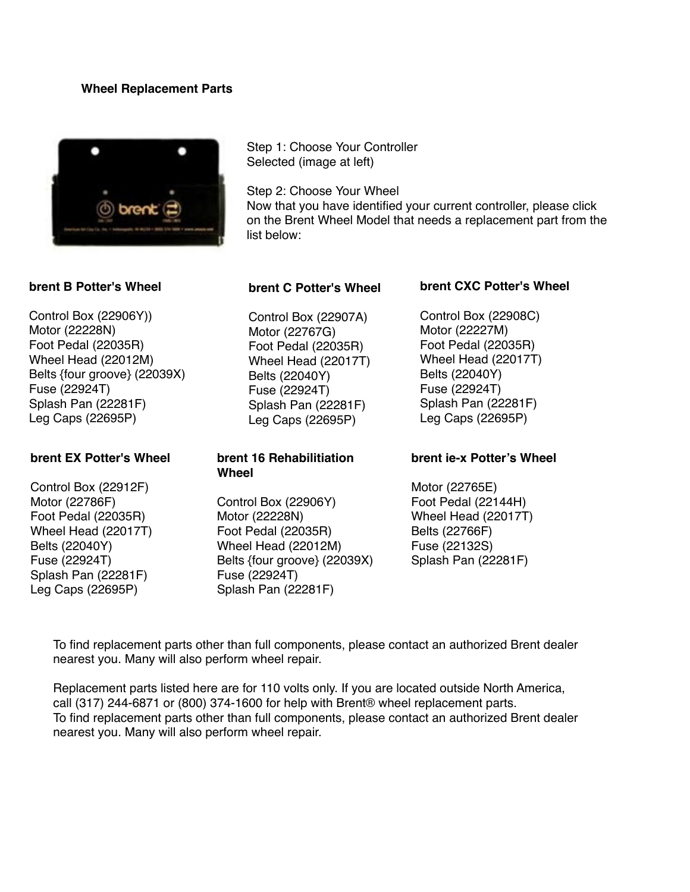

## **brent B Potter's Wheel**

Control Box (22906Y)) Motor (22228N) Foot Pedal (22035R) Wheel Head (22012M) Belts {four groove} (22039X) Fuse (22924T) Splash Pan (22281F) Leg Caps (22695P)

# **brent EX Potter's Wheel**

Control Box (22912F) Motor (22786F) Foot Pedal (22035R) Wheel Head (22017T) Belts (22040Y) Fuse (22924T) Splash Pan (22281F) Leg Caps (22695P)

Step 1: Choose Your Controller Selected (image at left)

Step 2: Choose Your Wheel Now that you have identified your current controller, please click on the Brent Wheel Model that needs a replacement part from the list below:

#### **brent C Potter's Wheel**

Control Box (22907A) Motor (22767G) Foot Pedal (22035R) Wheel Head (22017T) Belts (22040Y) Fuse (22924T) Splash Pan (22281F) Leg Caps (22695P)

# **brent 16 Rehabilitiation Wheel**

Control Box (22906Y) Motor (22228N) Foot Pedal (22035R) Wheel Head (22012M) Belts {four groove} (22039X) Fuse (22924T) Splash Pan (22281F)

#### **brent CXC Potter's Wheel**

Control Box (22908C) Motor (22227M) Foot Pedal (22035R) Wheel Head (22017T) Belts (22040Y) Fuse (22924T) Splash Pan (22281F) Leg Caps (22695P)

#### **brent ie-x Potter's Wheel**

Motor (22765E) Foot Pedal (22144H) Wheel Head (22017T) Belts (22766F) Fuse (22132S) Splash Pan (22281F)

To find replacement parts other than full components, please contact an authorized Brent dealer nearest you. Many will also perform wheel repair.

Replacement parts listed here are for 110 volts only. If you are located outside North America, call (317) 244-6871 or (800) 374-1600 for help with Brent® wheel replacement parts. To find replacement parts other than full components, please contact an authorized Brent dealer nearest you. Many will also perform wheel repair.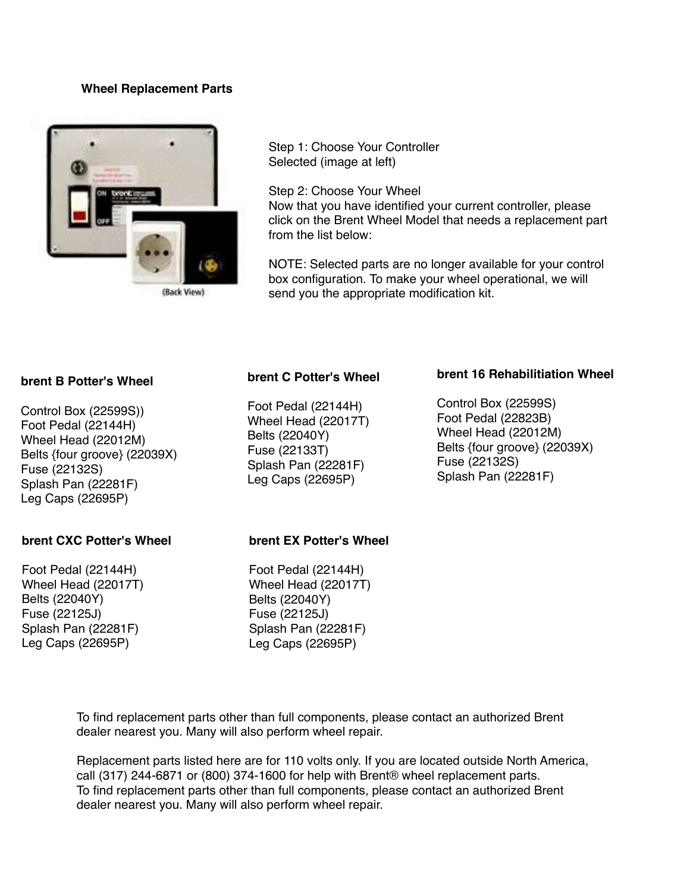

(Back View)

Step 1: Choose Your Controller Selected (image at left)

Step 2: Choose Your Wheel Now that you have identified your current controller, please click on the Brent Wheel Model that needs a replacement part from the list below:

NOTE: Selected parts are no longer available for your control box configuration. To make your wheel operational, we will send you the appropriate modification kit.

#### **brent B Potter's Wheel**

Control Box (22599S)) Foot Pedal (22144H) Wheel Head (22012M) Belts {four groove} (22039X) Fuse (22132S) Splash Pan (22281F) Leg Caps (22695P)

## **brent CXC Potter's Wheel**

Foot Pedal (22144H) Wheel Head (22017T) Belts (22040Y) Fuse (22125J) Splash Pan (22281F) Leg Caps (22695P)

## **brent C Potter's Wheel**

Foot Pedal (22144H) Wheel Head (22017T) Belts (22040Y) Fuse (22133T) Splash Pan (22281F) Leg Caps (22695P)

#### **brent 16 Rehabilitiation Wheel**

Control Box (22599S) Foot Pedal (22823B) Wheel Head (22012M) Belts {four groove} (22039X) Fuse (22132S) Splash Pan (22281F)

#### **brent EX Potter's Wheel**

Foot Pedal (22144H) Wheel Head (22017T) Belts (22040Y) Fuse (22125J) Splash Pan (22281F) Leg Caps (22695P)

To find replacement parts other than full components, please contact an authorized Brent dealer nearest you. Many will also perform wheel repair.

Replacement parts listed here are for 110 volts only. If you are located outside North America, call (317) 244-6871 or (800) 374-1600 for help with Brent® wheel replacement parts. To find replacement parts other than full components, please contact an authorized Brent dealer nearest you. Many will also perform wheel repair.